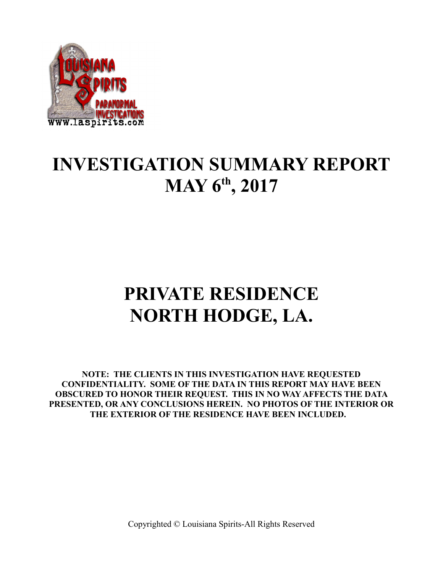

## **INVESTIGATION SUMMARY REPORT MAY 6th, 2017**

# **PRIVATE RESIDENCE NORTH HODGE, LA.**

**NOTE: THE CLIENTS IN THIS INVESTIGATION HAVE REQUESTED CONFIDENTIALITY. SOME OF THE DATA IN THIS REPORT MAY HAVE BEEN OBSCURED TO HONOR THEIR REQUEST. THIS IN NO WAY AFFECTS THE DATA PRESENTED, OR ANY CONCLUSIONS HEREIN. NO PHOTOS OF THE INTERIOR OR THE EXTERIOR OF THE RESIDENCE HAVE BEEN INCLUDED.**

Copyrighted © Louisiana Spirits-All Rights Reserved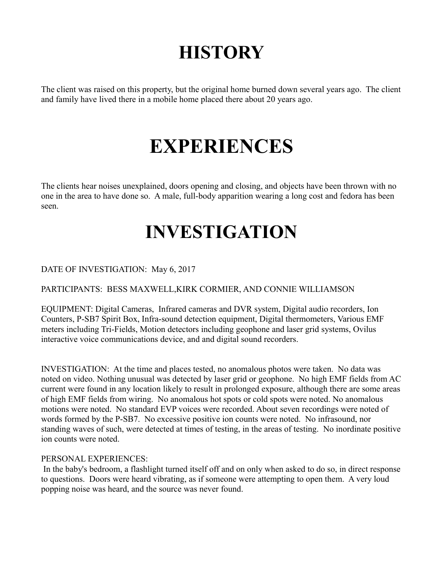## **HISTORY**

The client was raised on this property, but the original home burned down several years ago. The client and family have lived there in a mobile home placed there about 20 years ago.

## **EXPERIENCES**

The clients hear noises unexplained, doors opening and closing, and objects have been thrown with no one in the area to have done so. A male, full-body apparition wearing a long cost and fedora has been seen.

## **INVESTIGATION**

DATE OF INVESTIGATION: May 6, 2017

PARTICIPANTS: BESS MAXWELL,KIRK CORMIER, AND CONNIE WILLIAMSON

EQUIPMENT: Digital Cameras, Infrared cameras and DVR system, Digital audio recorders, Ion Counters, P-SB7 Spirit Box, Infra-sound detection equipment, Digital thermometers, Various EMF meters including Tri-Fields, Motion detectors including geophone and laser grid systems, Ovilus interactive voice communications device, and and digital sound recorders.

INVESTIGATION: At the time and places tested, no anomalous photos were taken. No data was noted on video. Nothing unusual was detected by laser grid or geophone. No high EMF fields from AC current were found in any location likely to result in prolonged exposure, although there are some areas of high EMF fields from wiring. No anomalous hot spots or cold spots were noted. No anomalous motions were noted. No standard EVP voices were recorded. About seven recordings were noted of words formed by the P-SB7. No excessive positive ion counts were noted. No infrasound, nor standing waves of such, were detected at times of testing, in the areas of testing. No inordinate positive ion counts were noted.

### PERSONAL EXPERIENCES:

 In the baby's bedroom, a flashlight turned itself off and on only when asked to do so, in direct response to questions. Doors were heard vibrating, as if someone were attempting to open them. A very loud popping noise was heard, and the source was never found.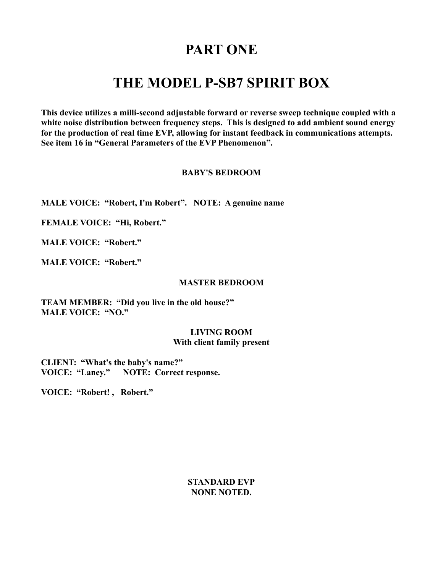### **PART ONE**

### **THE MODEL P-SB7 SPIRIT BOX**

**This device utilizes a milli-second adjustable forward or reverse sweep technique coupled with a white noise distribution between frequency steps. This is designed to add ambient sound energy for the production of real time EVP, allowing for instant feedback in communications attempts. See item 16 in "General Parameters of the EVP Phenomenon".** 

### **BABY'S BEDROOM**

**MALE VOICE: "Robert, I'm Robert". NOTE: A genuine name**

**FEMALE VOICE: "Hi, Robert."**

**MALE VOICE: "Robert."**

**MALE VOICE: "Robert."**

#### **MASTER BEDROOM**

**TEAM MEMBER: "Did you live in the old house?" MALE VOICE: "NO."**

#### **LIVING ROOM With client family present**

**CLIENT: "What's the baby's name?" VOICE: "Laney." NOTE: Correct response.**

**VOICE: "Robert! , Robert."**

**STANDARD EVP NONE NOTED.**